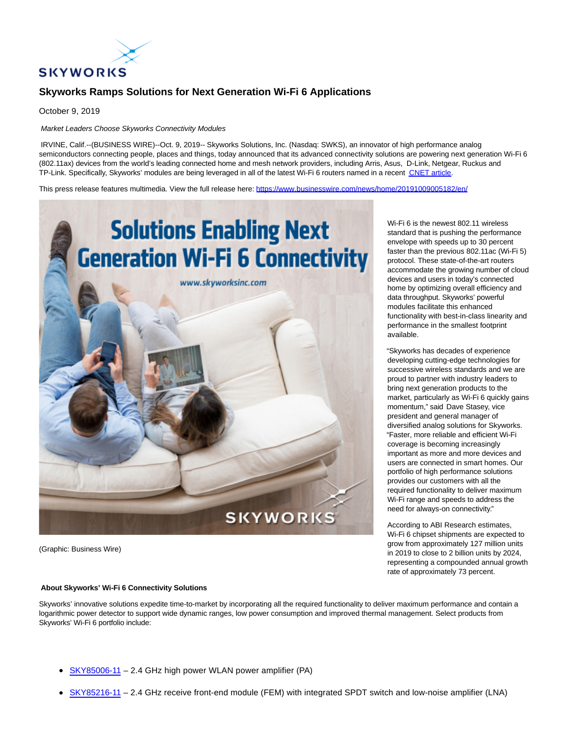

# **Skyworks Ramps Solutions for Next Generation Wi-Fi 6 Applications**

October 9, 2019

Market Leaders Choose Skyworks Connectivity Modules

IRVINE, Calif.--(BUSINESS WIRE)--Oct. 9, 2019-- Skyworks Solutions, Inc. (Nasdaq: SWKS), an innovator of high performance analog semiconductors connecting people, places and things, today announced that its advanced connectivity solutions are powering next generation Wi-Fi 6 (802.11ax) devices from the world's leading connected home and mesh network providers, including Arris, Asus, D-Link, Netgear, Ruckus and TP-Link. Specifically, Skyworks' modules are being leveraged in all of the latest Wi-Fi 6 routers named in a recent [CNET article.](https://cts.businesswire.com/ct/CT?id=smartlink&url=https%3A%2F%2Fwww.cnet.com%2Fpictures%2Fmeet-the-wi-fi-6-routers-that-support-802-11ax-wifi%2F&esheet=52108393&newsitemid=20191009005182&lan=en-US&anchor=CNET+article&index=1&md5=f3160aada1350f61e1ec44d46b95ab73)

This press release features multimedia. View the full release here:<https://www.businesswire.com/news/home/20191009005182/en/>



(Graphic: Business Wire)

### envelope with speeds up to 30 percent faster than the previous 802.11ac (Wi-Fi 5) protocol. These state-of-the-art routers accommodate the growing number of cloud devices and users in today's connected home by optimizing overall efficiency and data throughput. Skyworks' powerful modules facilitate this enhanced functionality with best-in-class linearity and performance in the smallest footprint available.

Wi-Fi 6 is the newest 802.11 wireless standard that is pushing the performance

"Skyworks has decades of experience developing cutting-edge technologies for successive wireless standards and we are proud to partner with industry leaders to bring next generation products to the market, particularly as Wi-Fi 6 quickly gains momentum," said Dave Stasey, vice president and general manager of diversified analog solutions for Skyworks. "Faster, more reliable and efficient Wi-Fi coverage is becoming increasingly important as more and more devices and users are connected in smart homes. Our portfolio of high performance solutions provides our customers with all the required functionality to deliver maximum Wi-Fi range and speeds to address the need for always-on connectivity."

According to ABI Research estimates, Wi-Fi 6 chipset shipments are expected to grow from approximately 127 million units in 2019 to close to 2 billion units by 2024, representing a compounded annual growth rate of approximately 73 percent.

## **About Skyworks' Wi-Fi 6 Connectivity Solutions**

Skyworks' innovative solutions expedite time-to-market by incorporating all the required functionality to deliver maximum performance and contain a logarithmic power detector to support wide dynamic ranges, low power consumption and improved thermal management. Select products from Skyworks' Wi-Fi 6 portfolio include:

- [SKY85006-11 –](https://cts.businesswire.com/ct/CT?id=smartlink&url=http%3A%2F%2Fwww.skyworksinc.com%2FProduct%2F4243%2FSKY85006-11&esheet=52108393&newsitemid=20191009005182&lan=en-US&anchor=SKY85006-11&index=2&md5=31dc87098025c097d3975bf1cc847bee) 2.4 GHz high power WLAN power amplifier (PA)
- [SKY85216-11 –](https://cts.businesswire.com/ct/CT?id=smartlink&url=http%3A%2F%2Fwww.skyworksinc.com%2FProduct%2F4244%2FSKY85216-11&esheet=52108393&newsitemid=20191009005182&lan=en-US&anchor=SKY85216-11&index=3&md5=e7929b30c55d6d02515174271563a8cf) 2.4 GHz receive front-end module (FEM) with integrated SPDT switch and low-noise amplifier (LNA)